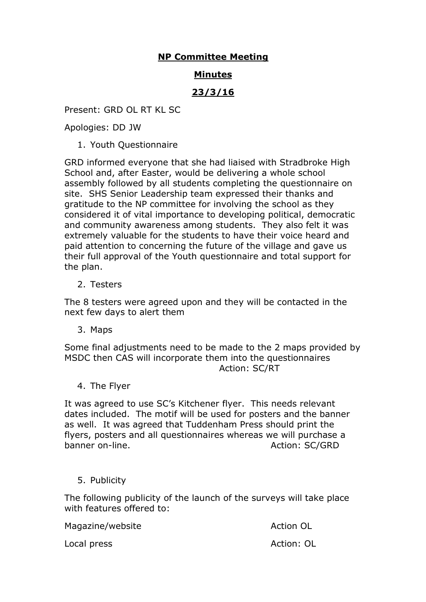## **NP Committee Meeting**

## **Minutes**

# **23/3/16**

Present: GRD OL RT KL SC

Apologies: DD JW

1. Youth Questionnaire

GRD informed everyone that she had liaised with Stradbroke High School and, after Easter, would be delivering a whole school assembly followed by all students completing the questionnaire on site. SHS Senior Leadership team expressed their thanks and gratitude to the NP committee for involving the school as they considered it of vital importance to developing political, democratic and community awareness among students. They also felt it was extremely valuable for the students to have their voice heard and paid attention to concerning the future of the village and gave us their full approval of the Youth questionnaire and total support for the plan.

2. Testers

The 8 testers were agreed upon and they will be contacted in the next few days to alert them

3. Maps

Some final adjustments need to be made to the 2 maps provided by MSDC then CAS will incorporate them into the questionnaires Action: SC/RT

4. The Flyer

It was agreed to use SC's Kitchener flyer. This needs relevant dates included. The motif will be used for posters and the banner as well. It was agreed that Tuddenham Press should print the flyers, posters and all questionnaires whereas we will purchase a banner on-line. Action: SC/GRD

5. Publicity

The following publicity of the launch of the surveys will take place with features offered to:

Magazine/website Action OL

Local press Action: OL Action: OL Action: OL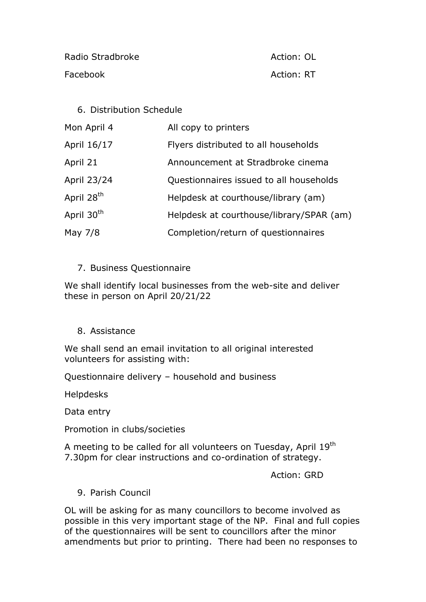Radio Stradbroke Action: OL Facebook **Action: RT** Action: RT

#### 6. Distribution Schedule

| Mon April 4            | All copy to printers                     |
|------------------------|------------------------------------------|
| April 16/17            | Flyers distributed to all households     |
| April 21               | Announcement at Stradbroke cinema        |
| April 23/24            | Questionnaires issued to all households  |
| April 28 <sup>th</sup> | Helpdesk at courthouse/library (am)      |
| April 30 <sup>th</sup> | Helpdesk at courthouse/library/SPAR (am) |
| May 7/8                | Completion/return of questionnaires      |

#### 7. Business Questionnaire

We shall identify local businesses from the web-site and deliver these in person on April 20/21/22

## 8. Assistance

We shall send an email invitation to all original interested volunteers for assisting with:

Questionnaire delivery – household and business

Helpdesks

Data entry

Promotion in clubs/societies

A meeting to be called for all volunteers on Tuesday, April 19<sup>th</sup> 7.30pm for clear instructions and co-ordination of strategy.

Action: GRD

9. Parish Council

OL will be asking for as many councillors to become involved as possible in this very important stage of the NP. Final and full copies of the questionnaires will be sent to councillors after the minor amendments but prior to printing. There had been no responses to